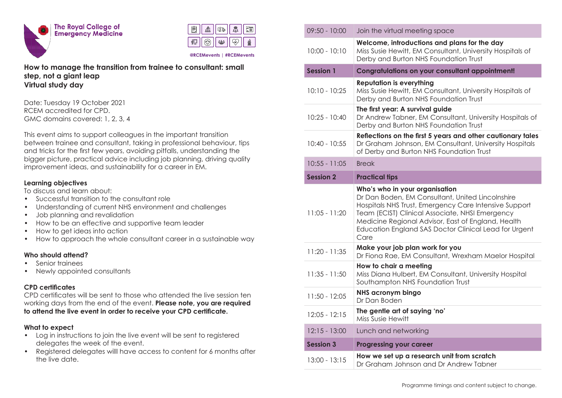



**@RCEMevents | #RCEMevents**

### **How to manage the transition from trainee to consultant: small step, not a giant leap Virtual study day**

Date: Tuesday 19 October 2021 RCEM accredited for CPD. GMC domains covered: 1, 2, 3, 4

This event aims to support colleagues in the important transition between trainee and consultant, taking in professional behaviour, tips and tricks for the first few years, avoiding pitfalls, understanding the bigger picture, practical advice including job planning, driving quality improvement ideas, and sustainability for a career in EM.

#### **Learning objectives**

To discuss and learn about:

- Successful transition to the consultant role
- Understanding of current NHS environment and challenges
- Job planning and revalidation
- How to be an effective and supportive team leader
- How to get ideas into action
- How to approach the whole consultant career in a sustainable way

# **Who should attend?**

- Senior trainees
- Newly appointed consultants

# **CPD certificates**

CPD certificates will be sent to those who attended the live session ten working days from the end of the event. **Please note, you are required to attend the live event in order to receive your CPD certificate.**

### **What to expect**

- Log in instructions to join the live event will be sent to registered delegates the week of the event.
- Registered delegates willl have access to content for 6 months after the live date.

| $09:50 - 10:00$  | Join the virtual meeting space                                                                                                                                                                                                                                                                                        |
|------------------|-----------------------------------------------------------------------------------------------------------------------------------------------------------------------------------------------------------------------------------------------------------------------------------------------------------------------|
| $10:00 - 10:10$  | Welcome, introductions and plans for the day<br>Miss Susie Hewitt, EM Consultant, University Hospitals of<br>Derby and Burton NHS Foundation Trust                                                                                                                                                                    |
| <b>Session 1</b> | <b>Congratulations on your consultant appointment!</b>                                                                                                                                                                                                                                                                |
| $10:10 - 10:25$  | <b>Reputation is everything</b><br>Miss Susie Hewitt, EM Consultant, University Hospitals of<br>Derby and Burton NHS Foundation Trust                                                                                                                                                                                 |
| $10:25 - 10:40$  | The first year: A survival guide<br>Dr Andrew Tabner, EM Consultant, University Hospitals of<br>Derby and Burton NHS Foundation Trust                                                                                                                                                                                 |
| $10:40 - 10:55$  | Reflections on the first 5 years and other cautionary tales<br>Dr Graham Johnson, EM Consultant, University Hospitals<br>of Derby and Burton NHS Foundation Trust                                                                                                                                                     |
| $10:55 - 11:05$  | <b>Break</b>                                                                                                                                                                                                                                                                                                          |
| <b>Session 2</b> | <b>Practical tips</b>                                                                                                                                                                                                                                                                                                 |
| $11:05 - 11:20$  | Who's who in your organisation<br>Dr Dan Boden, EM Consultant, United Lincolnshire<br>Hospitals NHS Trust, Emergency Care Intensive Support<br>Team (ECIST) Clinical Associate, NHSI Emergency<br>Medicine Regional Advisor, East of England, Health<br>Education England SAS Doctor Clinical Lead for Urgent<br>Care |
| $11:20 - 11:35$  | Make your job plan work for you<br>Dr Fiona Rae, EM Consultant, Wrexham Maelor Hospital                                                                                                                                                                                                                               |
| $11:35 - 11:50$  | How to chair a meeting<br>Miss Diana Hulbert, EM Consultant, University Hospital<br>Southampton NHS Foundation Trust                                                                                                                                                                                                  |
| $11:50 - 12:05$  | NHS acronym bingo<br>Dr Dan Boden                                                                                                                                                                                                                                                                                     |
| $12:05 - 12:15$  | The gentle art of saying 'no'<br>Miss Susie Hewitt                                                                                                                                                                                                                                                                    |
| $12:15 - 13:00$  | Lunch and networking                                                                                                                                                                                                                                                                                                  |
|                  |                                                                                                                                                                                                                                                                                                                       |
| <b>Session 3</b> | <b>Progressing your career</b>                                                                                                                                                                                                                                                                                        |